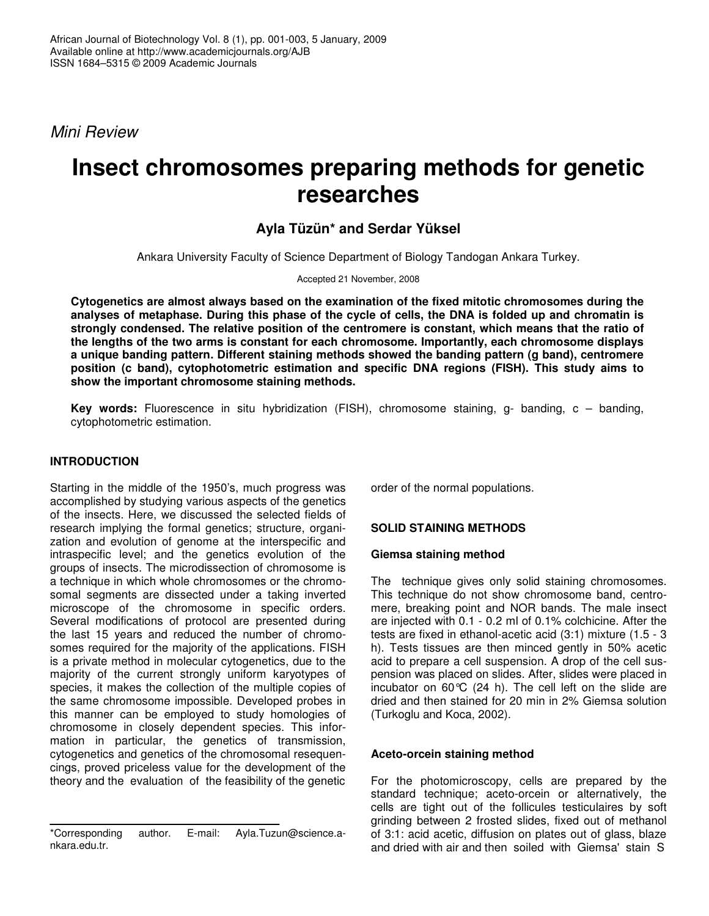*Mini Review*

# **Insect chromosomes preparing methods for genetic researches**

# **Ayla Tüzün\* and Serdar Yüksel**

Ankara University Faculty of Science Department of Biology Tandogan Ankara Turkey.

Accepted 21 November, 2008

**Cytogenetics are almost always based on the examination of the fixed mitotic chromosomes during the** analyses of metaphase. During this phase of the cycle of cells, the DNA is folded up and chromatin is **strongly condensed. The relative position of the centromere is constant, which means that the ratio of the lengths of the two arms is constant for each chromosome. Importantly, each chromosome displays a unique banding pattern. Different staining methods showed the banding pattern (g band), centromere position (c band), cytophotometric estimation and specific DNA regions (FISH). This study aims to show the important chromosome staining methods.**

**Key words:** Fluorescence in situ hybridization (FISH), chromosome staining, g- banding, c – banding, cytophotometric estimation.

## **INTRODUCTION**

Starting in the middle of the 1950's, much progress was accomplished by studying various aspects of the genetics of the insects. Here, we discussed the selected fields of research implying the formal genetics; structure, organization and evolution of genome at the interspecific and intraspecific level; and the genetics evolution of the groups of insects. The microdissection of chromosome is a technique in which whole chromosomes or the chromosomal segments are dissected under a taking inverted microscope of the chromosome in specific orders. Several modifications of protocol are presented during the last 15 years and reduced the number of chromosomes required for the majority of the applications. FISH is a private method in molecular cytogenetics, due to the majority of the current strongly uniform karyotypes of species, it makes the collection of the multiple copies of the same chromosome impossible. Developed probes in this manner can be employed to study homologies of chromosome in closely dependent species. This information in particular, the genetics of transmission, cytogenetics and genetics of the chromosomal resequencings, proved priceless value for the development of the theory and the evaluation of the feasibility of the genetic

order of the normal populations.

## **SOLID STAINING METHODS**

#### **Giemsa staining method**

The technique gives only solid staining chromosomes. This technique do not show chromosome band, centromere, breaking point and NOR bands. The male insect are injected with 0.1 - 0.2 ml of 0.1% colchicine. After the tests are fixed in ethanol-acetic acid (3:1) mixture (1.5 - 3 h). Tests tissues are then minced gently in 50% acetic acid to prepare a cell suspension. A drop of the cell suspension was placed on slides. After, slides were placed in incubator on 60 $\degree$ C (24 h). The cell left on the slide are dried and then stained for 20 min in 2% Giemsa solution (Turkoglu and Koca, 2002).

## **Aceto-orcein staining method**

For the photomicroscopy, cells are prepared by the standard technique; aceto-orcein or alternatively, the cells are tight out of the follicules testiculaires by soft grinding between 2 frosted slides, fixed out of methanol of 3:1: acid acetic, diffusion on plates out of glass, blaze and dried with air and then soiled with Giemsa' stain S

<sup>\*</sup>Corresponding author. E-mail: Ayla.Tuzun@science.ankara.edu.tr.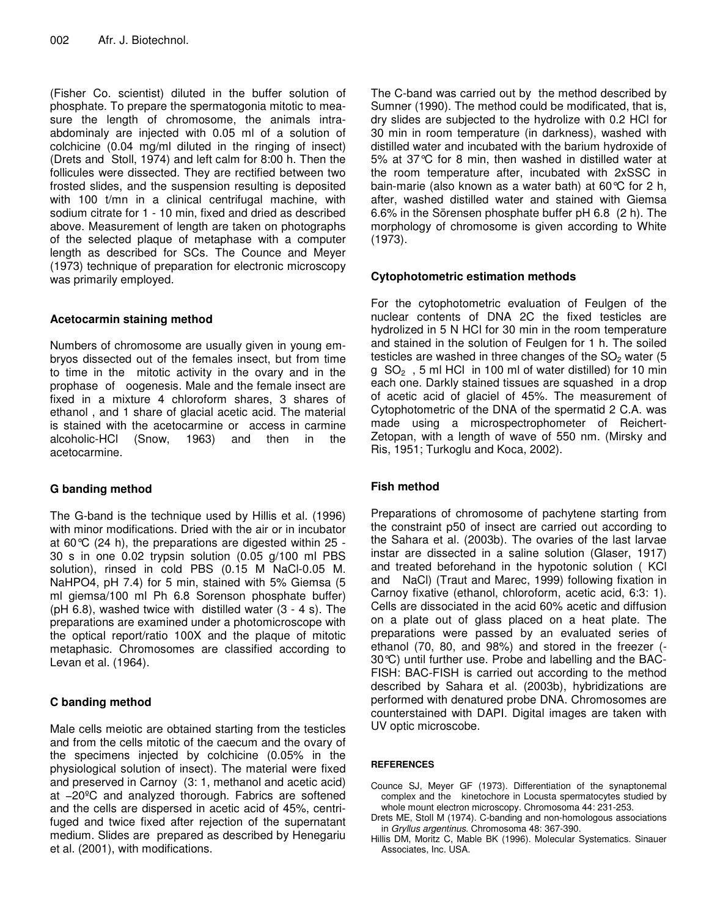(Fisher Co. scientist) diluted in the buffer solution of phosphate. To prepare the spermatogonia mitotic to measure the length of chromosome, the animals intraabdominaly are injected with 0.05 ml of a solution of colchicine (0.04 mg/ml diluted in the ringing of insect) (Drets and Stoll, 1974) and left calm for 8:00 h. Then the follicules were dissected. They are rectified between two frosted slides, and the suspension resulting is deposited with 100 t/mn in a clinical centrifugal machine, with sodium citrate for 1 - 10 min, fixed and dried as described above. Measurement of length are taken on photographs of the selected plaque of metaphase with a computer length as described for SCs. The Counce and Meyer (1973) technique of preparation for electronic microscopy was primarily employed.

## **Acetocarmin staining method**

Numbers of chromosome are usually given in young embryos dissected out of the females insect, but from time to time in the mitotic activity in the ovary and in the prophase of oogenesis. Male and the female insect are fixed in a mixture 4 chloroform shares, 3 shares of ethanol , and 1 share of glacial acetic acid. The material is stained with the acetocarmine or access in carmine alcoholic-HCl (Snow, 1963) and then in the acetocarmine.

## **G banding method**

The G-band is the technique used by Hillis et al. (1996) with minor modifications. Dried with the air or in incubator at 60°C (24 h), the preparations are digested within 25 - 30 s in one 0.02 trypsin solution (0.05 g/100 ml PBS solution), rinsed in cold PBS (0.15 M NaCl-0.05 M. NaHPO4, pH 7.4) for 5 min, stained with 5% Giemsa (5 ml giemsa/100 ml Ph 6.8 Sorenson phosphate buffer) (pH 6.8), washed twice with distilled water (3 - 4 s). The preparations are examined under a photomicroscope with the optical report/ratio 100X and the plaque of mitotic metaphasic. Chromosomes are classified according to Levan et al. (1964).

## **C banding method**

Male cells meiotic are obtained starting from the testicles and from the cells mitotic of the caecum and the ovary of the specimens injected by colchicine (0.05% in the physiological solution of insect). The material were fixed and preserved in Carnoy (3: 1, methanol and acetic acid) at −20ºC and analyzed thorough. Fabrics are softened and the cells are dispersed in acetic acid of 45%, centrifuged and twice fixed after rejection of the supernatant medium. Slides are prepared as described by Henegariu et al. (2001), with modifications.

The C-band was carried out by the method described by Sumner (1990). The method could be modificated, that is, dry slides are subjected to the hydrolize with 0.2 HCl for 30 min in room temperature (in darkness), washed with distilled water and incubated with the barium hydroxide of 5% at 37°C for 8 min, then washed in distilled water at the room temperature after, incubated with 2xSSC in bain-marie (also known as a water bath) at 60°C for 2 h, after, washed distilled water and stained with Giemsa 6.6% in the Sörensen phosphate buffer pH 6.8 (2 h). The morphology of chromosome is given according to White (1973).

## **Cytophotometric estimation methods**

For the cytophotometric evaluation of Feulgen of the nuclear contents of DNA 2C the fixed testicles are hydrolized in 5 N HCl for 30 min in the room temperature and stained in the solution of Feulgen for 1 h. The soiled testicles are washed in three changes of the  $SO<sub>2</sub>$  water (5)  $g$  SO<sub>2</sub>, 5 ml HCl in 100 ml of water distilled) for 10 min each one. Darkly stained tissues are squashed in a drop of acetic acid of glaciel of 45%. The measurement of Cytophotometric of the DNA of the spermatid 2 C.A. was made using a microspectrophometer of Reichert-Zetopan, with a length of wave of 550 nm. (Mirsky and Ris, 1951; Turkoglu and Koca, 2002).

## **Fish method**

Preparations of chromosome of pachytene starting from the constraint p50 of insect are carried out according to the Sahara et al. (2003b). The ovaries of the last larvae instar are dissected in a saline solution (Glaser, 1917) and treated beforehand in the hypotonic solution ( KCl and NaCl) (Traut and Marec, 1999) following fixation in Carnoy fixative (ethanol, chloroform, acetic acid, 6:3: 1). Cells are dissociated in the acid 60% acetic and diffusion on a plate out of glass placed on a heat plate. The preparations were passed by an evaluated series of ethanol (70, 80, and 98%) and stored in the freezer (- 30°C) until further use. Probe and labelling and the BAC-FISH: BAC-FISH is carried out according to the method described by Sahara et al. (2003b), hybridizations are performed with denatured probe DNA. Chromosomes are counterstained with DAPI. Digital images are taken with UV optic microscobe.

#### **REFERENCES**

- Counce SJ, Meyer GF (1973). Differentiation of the synaptonemal complex and the kinetochore in Locusta spermatocytes studied by whole mount electron microscopy. Chromosoma 44: 231-253.
- Drets ME, Stoll M (1974). C-banding and non-homologous associations in *Gryllus argentinus*. Chromosoma 48: 367-390.
- Hillis DM, Moritz C, Mable BK (1996). Molecular Systematics. Sinauer Associates, Inc. USA.